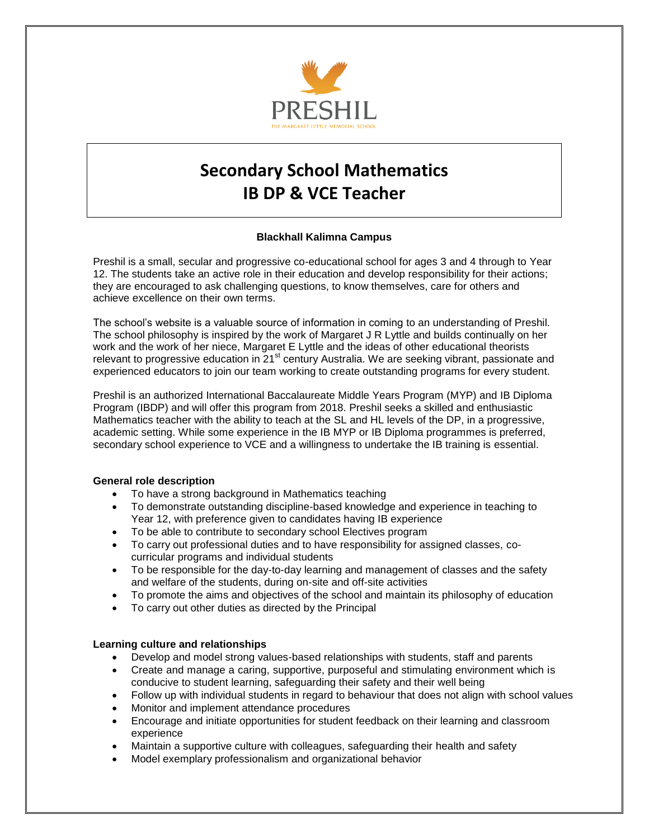

# **Secondary School Mathematics IB DP & VCE Teacher**

# **Blackhall Kalimna Campus**

Preshil is a small, secular and progressive co-educational school for ages 3 and 4 through to Year 12. The students take an active role in their education and develop responsibility for their actions; they are encouraged to ask challenging questions, to know themselves, care for others and achieve excellence on their own terms.

The school's website is a valuable source of information in coming to an understanding of Preshil. The school philosophy is inspired by the work of Margaret J R Lyttle and builds continually on her work and the work of her niece, Margaret E Lyttle and the ideas of other educational theorists relevant to progressive education in 21<sup>st</sup> century Australia. We are seeking vibrant, passionate and experienced educators to join our team working to create outstanding programs for every student.

Preshil is an authorized International Baccalaureate Middle Years Program (MYP) and IB Diploma Program (IBDP) and will offer this program from 2018. Preshil seeks a skilled and enthusiastic Mathematics teacher with the ability to teach at the SL and HL levels of the DP, in a progressive, academic setting. While some experience in the IB MYP or IB Diploma programmes is preferred, secondary school experience to VCE and a willingness to undertake the IB training is essential.

# **General role description**

- To have a strong background in Mathematics teaching
- To demonstrate outstanding discipline-based knowledge and experience in teaching to Year 12, with preference given to candidates having IB experience
- To be able to contribute to secondary school Electives program
- To carry out professional duties and to have responsibility for assigned classes, cocurricular programs and individual students
- To be responsible for the day-to-day learning and management of classes and the safety and welfare of the students, during on-site and off-site activities
- To promote the aims and objectives of the school and maintain its philosophy of education
- To carry out other duties as directed by the Principal

#### **Learning culture and relationships**

- Develop and model strong values-based relationships with students, staff and parents
- Create and manage a caring, supportive, purposeful and stimulating environment which is conducive to student learning, safeguarding their safety and their well being
- Follow up with individual students in regard to behaviour that does not align with school values
- Monitor and implement attendance procedures
- Encourage and initiate opportunities for student feedback on their learning and classroom experience
- Maintain a supportive culture with colleagues, safeguarding their health and safety
- Model exemplary professionalism and organizational behavior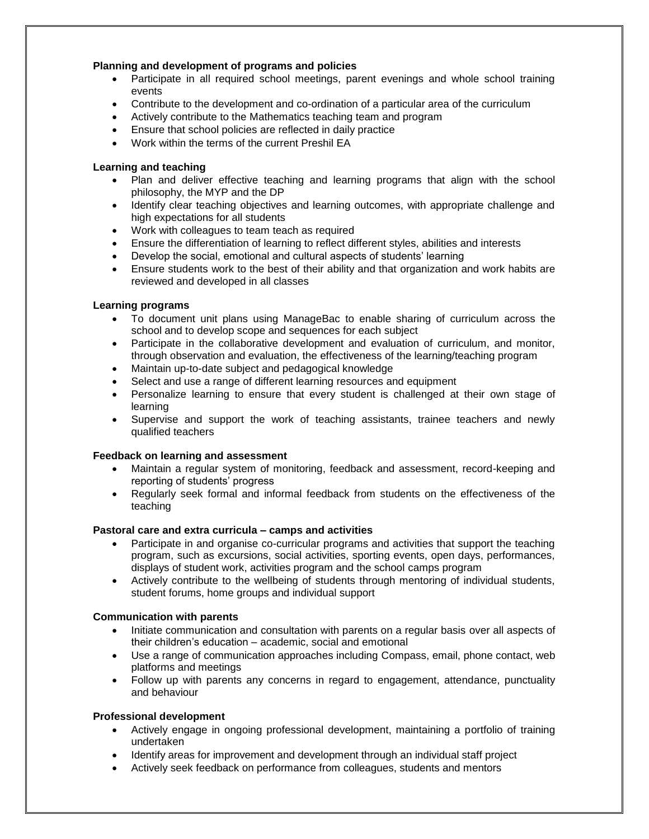# **Planning and development of programs and policies**

- Participate in all required school meetings, parent evenings and whole school training events
- Contribute to the development and co-ordination of a particular area of the curriculum
- Actively contribute to the Mathematics teaching team and program
- Ensure that school policies are reflected in daily practice
- Work within the terms of the current Preshil EA

## **Learning and teaching**

- Plan and deliver effective teaching and learning programs that align with the school philosophy, the MYP and the DP
- Identify clear teaching objectives and learning outcomes, with appropriate challenge and high expectations for all students
- Work with colleagues to team teach as required
- Ensure the differentiation of learning to reflect different styles, abilities and interests
- Develop the social, emotional and cultural aspects of students' learning
- Ensure students work to the best of their ability and that organization and work habits are reviewed and developed in all classes

## **Learning programs**

- To document unit plans using ManageBac to enable sharing of curriculum across the school and to develop scope and sequences for each subject
- Participate in the collaborative development and evaluation of curriculum, and monitor, through observation and evaluation, the effectiveness of the learning/teaching program
- Maintain up-to-date subject and pedagogical knowledge
- Select and use a range of different learning resources and equipment
- Personalize learning to ensure that every student is challenged at their own stage of learning
- Supervise and support the work of teaching assistants, trainee teachers and newly qualified teachers

#### **Feedback on learning and assessment**

- Maintain a regular system of monitoring, feedback and assessment, record-keeping and reporting of students' progress
- Regularly seek formal and informal feedback from students on the effectiveness of the teaching

#### **Pastoral care and extra curricula – camps and activities**

- Participate in and organise co-curricular programs and activities that support the teaching program, such as excursions, social activities, sporting events, open days, performances, displays of student work, activities program and the school camps program
- Actively contribute to the wellbeing of students through mentoring of individual students, student forums, home groups and individual support

#### **Communication with parents**

- Initiate communication and consultation with parents on a regular basis over all aspects of their children's education – academic, social and emotional
- Use a range of communication approaches including Compass, email, phone contact, web platforms and meetings
- Follow up with parents any concerns in regard to engagement, attendance, punctuality and behaviour

#### **Professional development**

- Actively engage in ongoing professional development, maintaining a portfolio of training undertaken
- Identify areas for improvement and development through an individual staff project
- Actively seek feedback on performance from colleagues, students and mentors